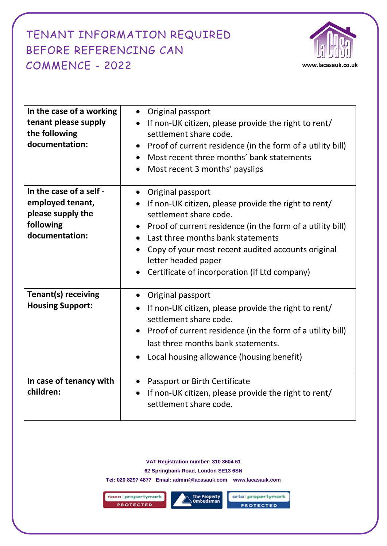## BEFORE REFERENCING CAN TENANT INFORMATION REQUIRED COMMENCE - 2022 **www.lacasauk.co.uk**



| In the case of a working<br>tenant please supply<br>the following<br>documentation:             | Original passport<br>$\bullet$<br>If non-UK citizen, please provide the right to rent/<br>$\bullet$<br>settlement share code.<br>Proof of current residence (in the form of a utility bill)<br>$\bullet$<br>Most recent three months' bank statements<br>Most recent 3 months' payslips                                                                          |
|-------------------------------------------------------------------------------------------------|------------------------------------------------------------------------------------------------------------------------------------------------------------------------------------------------------------------------------------------------------------------------------------------------------------------------------------------------------------------|
| In the case of a self -<br>employed tenant,<br>please supply the<br>following<br>documentation: | • Original passport<br>If non-UK citizen, please provide the right to rent/<br>$\bullet$<br>settlement share code.<br>Proof of current residence (in the form of a utility bill)<br>Last three months bank statements<br>Copy of your most recent audited accounts original<br>$\bullet$<br>letter headed paper<br>Certificate of incorporation (if Ltd company) |
| <b>Tenant(s) receiving</b><br><b>Housing Support:</b>                                           | Original passport<br>$\bullet$<br>If non-UK citizen, please provide the right to rent/<br>$\bullet$<br>settlement share code.<br>Proof of current residence (in the form of a utility bill)<br>last three months bank statements.<br>Local housing allowance (housing benefit)                                                                                   |
| In case of tenancy with<br>children:                                                            | Passport or Birth Certificate<br>$\bullet$<br>If non-UK citizen, please provide the right to rent/<br>$\bullet$<br>settlement share code.                                                                                                                                                                                                                        |

**VAT Registration number: 310 3604 61 62 Springbank Road, London SE13 6SN**

**Tel: 020 8297 4877 Email: admin@lacasauk.com www.lacasauk.com**

naea | propertymark PROTECTED



arla | propertymark **PROTECTED**